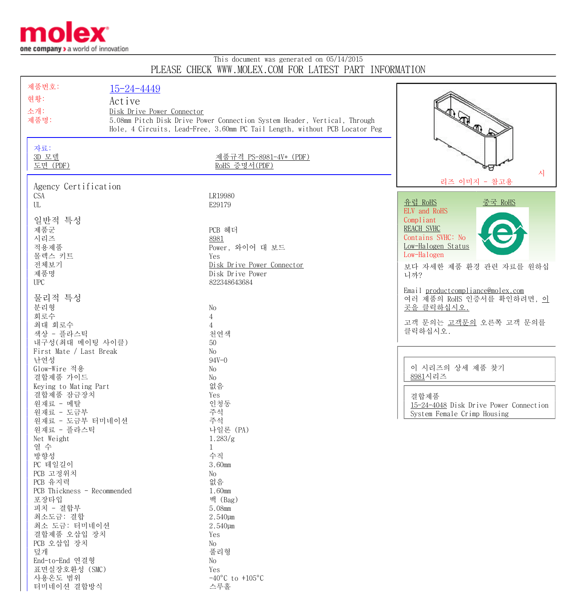

## This document was generated on 05/14/2015 PLEASE CHECK WWW.MOLEX.COM FOR LATEST PART INFORMATION

| 제품번호:                       | $15 - 24 - 4449$                                                          |                                                                             |                                               |
|-----------------------------|---------------------------------------------------------------------------|-----------------------------------------------------------------------------|-----------------------------------------------|
| 현황:                         |                                                                           |                                                                             |                                               |
|                             | Active                                                                    |                                                                             |                                               |
| 소개:                         | Disk Drive Power Connector                                                |                                                                             |                                               |
| 제품명:                        | 5.08mm Pitch Disk Drive Power Connection System Header, Vertical, Through | Real property                                                               |                                               |
|                             |                                                                           | Hole, 4 Circuits, Lead-Free, 3.60mm PC Tail Length, without PCB Locator Peg |                                               |
|                             |                                                                           |                                                                             |                                               |
| 자료:                         |                                                                           |                                                                             |                                               |
| 3D 모델                       |                                                                           | 제품규격 PS-8981-4V* (PDF)                                                      |                                               |
| 도면 (PDF)                    |                                                                           | RoHS 증명서(PDF)                                                               |                                               |
|                             |                                                                           |                                                                             | 시                                             |
|                             |                                                                           |                                                                             | 리즈 이미지 - 참고용                                  |
| Agency Certification        |                                                                           |                                                                             |                                               |
| <b>CSA</b>                  |                                                                           | LR19980                                                                     |                                               |
| UL                          |                                                                           | E29179                                                                      | 유럽 RoHS<br><u>중국 RoHS</u>                     |
|                             |                                                                           |                                                                             | ELV and RoHS                                  |
| 일반적 특성                      |                                                                           |                                                                             | Compliant                                     |
| 제품군                         |                                                                           | PCB 헤더                                                                      | <b>REACH SVHC</b>                             |
| 시리즈                         |                                                                           | 8981                                                                        | Contains SVHC: No                             |
| 적용제품                        |                                                                           | Power, 와이어 대 보드                                                             | Low-Halogen Status                            |
| 몰렉스 키트                      |                                                                           | Yes                                                                         | Low-Halogen                                   |
| 전체보기                        |                                                                           | Disk Drive Power Connector                                                  | 보다 자세한 제품 환경 관련 자료를 원하십                       |
| 제품명                         |                                                                           | Disk Drive Power                                                            | 니까?                                           |
| <b>UPC</b>                  |                                                                           | 822348643684                                                                |                                               |
|                             |                                                                           |                                                                             | Email productcompliance@molex.com             |
| 물리적 특성                      |                                                                           |                                                                             | 여러 제품의 RoHS 인증서를 확인하려면, <u>이</u>              |
| 분리형                         |                                                                           | No                                                                          | 곳을 클릭하십시오.                                    |
| 회로수                         |                                                                           | $\overline{4}$                                                              |                                               |
| 최대 회로수                      |                                                                           | $\overline{4}$                                                              | 고객 문의는 고객문의 오른쪽 고객 문의를                        |
| 색상 - 플라스틱                   |                                                                           | 천연색                                                                         | 클릭하십시오.                                       |
| 내구성 (최대 메이팅 사이클)            |                                                                           | 50                                                                          |                                               |
| First Mate / Last Break     |                                                                           | $\rm No$                                                                    |                                               |
| 난연성                         |                                                                           | $94V - 0$                                                                   |                                               |
|                             |                                                                           |                                                                             | 이 시리즈의 상세 제품 찾기                               |
| Glow-Wire 적용                |                                                                           | No                                                                          | 8981시리즈                                       |
| 결합제품 가이드                    |                                                                           | No                                                                          |                                               |
| Keying to Mating Part       |                                                                           | 없음                                                                          |                                               |
| 결합제품 잠금장치                   |                                                                           | Yes                                                                         | 결합제품                                          |
| 원재료 - 메탈                    |                                                                           | 인청동                                                                         | <u>15-24-4048</u> Disk Drive Power Connection |
| 원재료 - 도금부                   |                                                                           | 주석                                                                          | System Female Crimp Housing                   |
| 원재료 - 도금부 터미네이션             |                                                                           | 주석                                                                          |                                               |
| 원재료 - 플라스틱                  |                                                                           | 나일론 (PA)                                                                    |                                               |
| Net Weight                  |                                                                           | 1.283/g                                                                     |                                               |
| 열 수                         |                                                                           | 1                                                                           |                                               |
| 방향성                         |                                                                           | 수직                                                                          |                                               |
| PC 테일길이                     |                                                                           | 3.60mm                                                                      |                                               |
| PCB 고정위치                    |                                                                           | $\rm No$                                                                    |                                               |
| PCB 유지력                     |                                                                           | 없음                                                                          |                                               |
| PCB Thickness - Recommended |                                                                           | 1.60mm                                                                      |                                               |
| 포장타입                        |                                                                           | 백 (Bag)                                                                     |                                               |
| 피치 - 결합부                    |                                                                           | 5.08mm                                                                      |                                               |
| 최소도금: 결합                    |                                                                           | 2.540µm                                                                     |                                               |
| 최소 도금: 터미네이션                |                                                                           | 2.540µm                                                                     |                                               |
| 결합제품 오삽입 장치                 |                                                                           | Yes                                                                         |                                               |
| PCB 오삽입 장치                  |                                                                           | No                                                                          |                                               |
| 덮개                          |                                                                           | 풀리형                                                                         |                                               |
| End-to-End 연결형              |                                                                           | No                                                                          |                                               |
| 표면실장호환성 (SMC)               |                                                                           | Yes                                                                         |                                               |
| 사용온도 범위                     |                                                                           | $-40^{\circ}$ C to $+105^{\circ}$ C                                         |                                               |
| 터미네이션 결합방식                  |                                                                           | 스루홀                                                                         |                                               |
|                             |                                                                           |                                                                             |                                               |